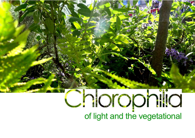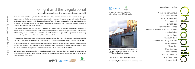

Every day we inhabit the vegetational world. It forms a living interface essential to our existence as biological organisms. In its physical form it represents the substantiation of sunlight through photosynthesis into frondescence, verdure and greenery. Locked within the chemical matrix of every plant are the molecules that give us the perception of 'green'. The chemical formula for this is C55H72MgN4O5, or chlorophyll, and it engages in complex reac�ons to convert the Sun's energy into living organisms.

Paradoxically, magenta light also occupies a function in this process and is an essential component in the health of plants. To artists, such a contradiction elicits curiosity and a pathway to phenomenological exploration. International artists working in various media will be invited to respond to the theme of light and the vegetational. Each will bring their own interpretation of what the chlorophilic world means to them.

For Aristotle, philia excluded a love of inanimate objects. We propose that a love of foliage, and a fascination with the process of its becoming through sunlight, is a basis for artistic investigation in many different media as chlorophilia.

In many ways this project parallels the transformations that are occurring in the plant world. Who can say where a seed will take root or where a tree will fall in a forest. The history of the vegetational on Earth is redolent with false starts and incredible advances, responses to niche environments and global genetic re-interpretations.

Will we ever understand this complexity? It is a field that will literally never stand still long enough for assumptions to become complacent. As the world enters a new epoch of global greening, we are proposing a new revolution in our understanding of Chlorophilia.



# of light and the vegetational an exhibition exploring the substantiation of sunlight

*Par�cipa�ng Ar�sts*

Alexandra Dementieva Alistair McClymont Alma Tischlerwood Chris Marshall David Bloor Demelza Woodbridge Hanna Rut Neidhardt + Joachim Raab Jheni Arboine Liz Harrison Marcia Michael Marlena Novak + Jay Alan Yim Nicky Hamlyn Nicola Rae Olga Koroleva Paul Malone Richard Lawrence Roei Greenberg Steven Scott



Curated by Paul Malone and Nicola Rae

Sponsored by Kenneth Donaldson and Cathy Dean

An exhibition for the UNESCO International Year of Plant Health



An exhibition which took place between the 3rd to the 6th of December 2020 at the APT Gallery, Deptford, London.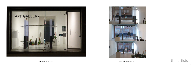



# Chlorophilia looking in  $\overline{the\arrows}$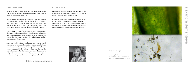# alexandra demen�eva **RS**  $\overline{\phantom{0}}$ OU<sub>D</sub>  $\overline{\mathbf{d}}$  $\overline{\mathbf{D}}$  $\overline{O}$



# about the artwork

For several months I have been watching an amazing animal that caught my attention many years ago and since then has never let me be indifferent to it.

This creature is the Tardigrade - small but extremely resistant to situations that can be lethal to almost all other animals. There are about 1,300 known species and they have populated the Earth for more than 500 million years. Their other name is Moss Piglets, as they dwell mostly in moss.

My research process happens here and now, in the increasingly technologized present, it is deeply rooted in cultural and scientific context.

Mosses form a group of plants that contains 13295 species. This group has been around since the Silurian Period. Mosses are photo-autotrophs and contribute to producing and maintaining the oxygen content of the Earth's atmosphere and can create bio-coenosis.

Photography and other digital media always record a trace, which indicates the former presence of something. Attesting to a certain event the trace at the same time enshrines the technology in use, thus acting as a witness to contemporaneous culture.



A common point between tardigrades and mosses is their presence everywhere and, since they have survived all mass extinctions, there is a chance that they will stay here forever. I made a video diptych inspired by their 'eternity' working with microscopes. The first screen is moss in the process of being saturated with water, and the second is a tardigrade looking for a large island of moss among its small parts.

https://alexdementieva.org

# about the artist

#### Moss and its piglet

Video diptych Soundtrack – live performance by Carl Michael von Hausswolff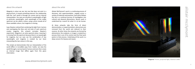

'Magenta' Prisms, projected light, titanium oxide

alistair mcclymont

ncclymon

**Sta** 

## about the artwork

Isaac Newton no�ced that combining the light from 2 prisms and overlapping the blue and red ends of each spectrum creates magenta, this artwork recreates Newton's experiment. Magenta is an extra-spectral colour, meaning it is missing from the spectrum because there is no wavelength for magenta, but our eyes see the combination of two wavelengths and magenta is created by our brain interpreting the two colours in this way.

This simple act demonstrates that our interpretation of the world differs in incredible ways from 'reality', we view the world through a narrow band of senses and even then create an internal image that differs again from this given information.

# about the artist

*Magenta* is colour we see, but one that does not exist in a physical form, it reveals something internal. Our relationship with the 'real' world is through our senses *and* an internal interpretation. Our eyes are sensitive to wavelengths of light at particular wavelengths, each wavelength of the visible spectrum can be called a colour, using a prism reveals all of these available colours, but magenta is missing.

Alistair McClymont's work is a continuing process of discovery and experimentation, ranging across a variety of materials and practices. Each piece follows the last in a continual journey of investigation into cultural and physical phenomena. Recent work is underlined by a search for what it is to be human.

At times artworks take the form of direct demonstration, or experimentation: phenomena are removed from the world and reduced to their essence. At other times the artworks are formed by phenomena: the sculpture, or image is created by a process that is out of his control and the final work points to that process. Underlying all the work is a deep concern for beauty and reason.



www.alistairmcclymont.com